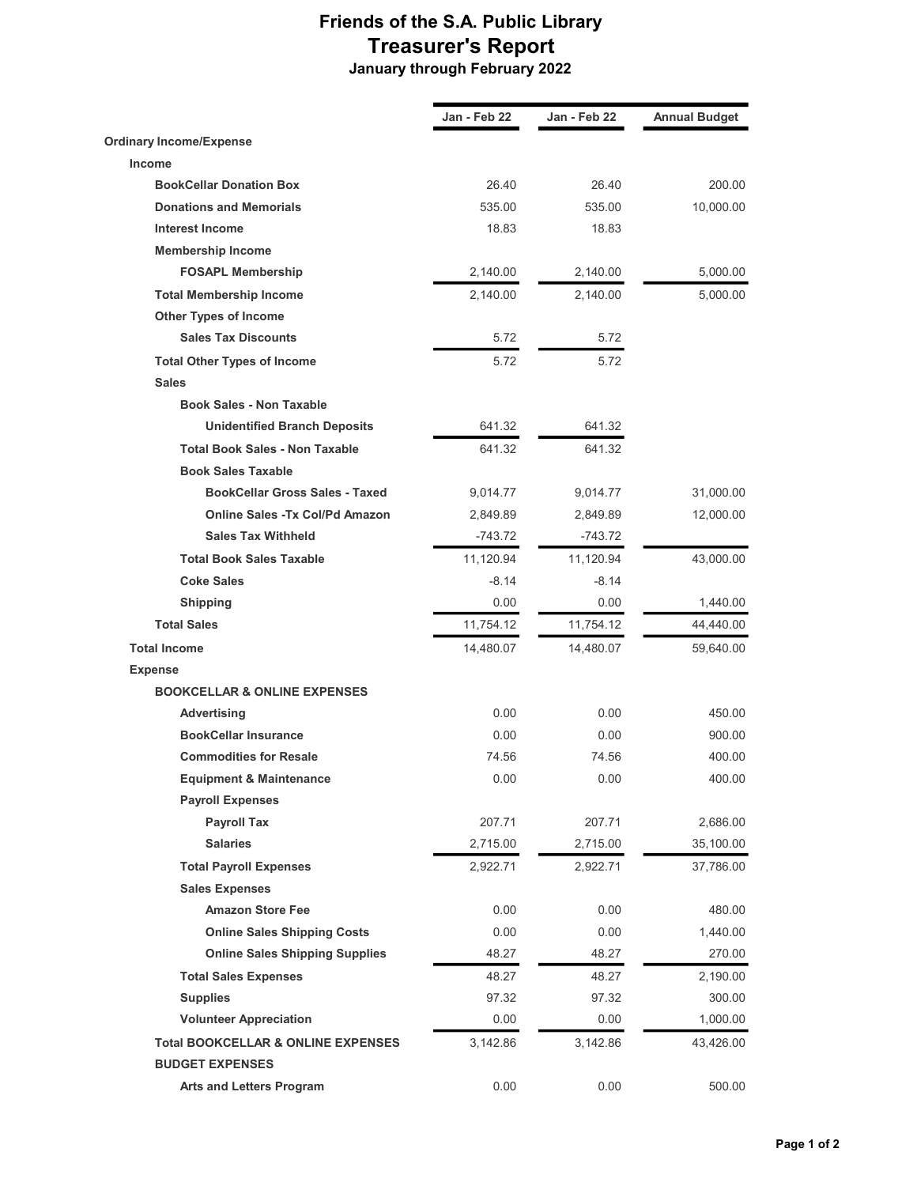## Friends of the S.A. Public Library Treasurer's Report January through February 2022

Jan - Feb 22 Jan - Feb 22 Annual Budget Ordinary Income/Expense Income BookCellar Donation Box 26.40 26.40 200.00 **Donations and Memorials 10.000.00 535.00** 535.00 535.00 535.00 535.00 535.00 535.00 **10,000.00 Interest Income 18.83** 18.83 Membership Income FOSAPL Membership 2,140.00 2,140.00 5,000.00 Total Membership Income 2,140.00 2,140.00 5,000.00 Other Types of Income Sales Tax Discounts 6.72 5.72 Total Other Types of Income 5.72 5.72 Sales Book Sales - Non Taxable Unidentified Branch Deposits 641.32 641.32 Total Book Sales - Non Taxable 641.32 641.32 Book Sales Taxable BookCellar Gross Sales - Taxed 9,014.77 9,014.77 31,000.00 Online Sales -Tx Col/Pd Amazon 2,849.89 2,849.89 12,000.00 Sales Tax Withheld -743.72 -743.72 Total Book Sales Taxable 11,120.94 11,120.94 43,000.00 **Coke Sales -8.14** -8.14 **Shipping 1,440.00** 0.00 0.00 0.00 0.00 1,440.00 **Total Sales** 44,440.00 Total Income 69,640.00 14,480.07 14,480.07 14,480.07 59,640.00 Expense BOOKCELLAR & ONLINE EXPENSES Advertising 150.00 0.00 0.00 0.00 450.00 BookCellar Insurance 0.00 0.00 900.00 **Commodities for Resale 1200.00** 74.56 74.56 74.56 400.00 **Equipment & Maintenance**  $0.00$  0.00 0.00 400.00 Payroll Expenses Payroll Tax 207.71 207.71 207.71 2,686.00 Salaries 2,715.00 2,715.00 35,100.00 Total Payroll Expenses 2,922.71 2,922.71 37,786.00 Sales Expenses Amazon Store Fee 200 0.00 0.00 0.00 480.00 Online Sales Shipping Costs **0.00** 0.00 0.00 1,440.00 Online Sales Shipping Supplies **48.27** 48.27 48.27 270.00 Total Sales Expenses 48.27 48.27 2,190.00 Supplies 97.32 97.32 300.00 Volunteer Appreciation **0.00** 0.00 0.00 1,000.00 Total BOOKCELLAR & ONLINE EXPENSES 3,142.86 3,142.86 43,426.00 BUDGET EXPENSES Arts and Letters Program  $0.00$  0.00 0.00 500.00